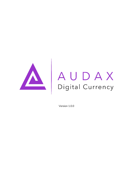

# AUDAX<br>Digital Currency

Version 1.0.0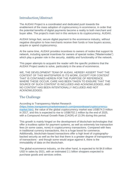# Introduction/Abstract

The AUDAX Project is a coordinated and dedicated push towards the enablement of the mass adoption of cryptocurrency in ecommerce, in order that the potential benefits of digital payments become a reality to both merchant and buyer alike. The project's main tool in this venture is its cryptocurrency, AUDAX.

AUDAX brings fast, secure digital payment to the ecommerce industry, without negative disruption to how merchants receive their funds or how buyers access, acquire or spend cryptocurrency.

At the same time, AUDAX provides incentives to owners of nodes that support its network, including special incentives for owners of special nodes ("Masternodes") which play a greater role in the security, stability and functionality of the network.

This paper attempts to acquaint the reader with the specific problems that the AUDAX Project seeks to solve, particularly in the area of ecommerce.

WE, THE DEVELOPMENT TEAM OF AUDAX, HEREBY ASSERT THAT THE CONTENT OF THIS WHITEPAPER IS ITS WORK, EXCEPT FOR CONTENT THAT IS CONTAINED HEREIN FOR THE PURPOSE OF REFERENCE. WHERE THESE OCCUR, CARE HAS BEEN TAKEN TO ENSURE THAT THE SOURCE OF SUCH CONTENT IS INCLUDED AND ACKNOWLEDGED, AND NO CONTENT HAS BEEN INTENTIONALLY INCLUDED AND NOT ACKNOWLEDGED.

### The Challenge

According to Transparency Market Research

[\(https://www.transparencymarketresearch.com/pressrelease/cryptocurrency](https://www.transparencymarketresearch.com/pressrelease/cryptocurrency-market.htm)[market.htm\)](https://www.transparencymarketresearch.com/pressrelease/cryptocurrency-market.htm), the value of the global cryptocurrency market was US\$574.3 million in 2017, and this is expected to rise to US\$6702.1 million by the end of 2025, with a Compound Annual Growth Rate (CAGR) of 13.3% during this period.

This growth is mainly hinged on the development of blockchain technologies that offer a trustless option for payment systems, as well as extremely low transaction fees (in some cases, none) in cryptocurrency transactions. Compared with fees in traditional currency transactions, this is a huge boost for commerce. Additionally, blockchain-based transactions offer a high level of cryptographybacked security as well as the fact that there is a greater degree of transparency of transactions - and though some would argue against it, there is the immutability of data on the blockchain.

The global ecommerce industry, on the other hand, is expected to hit \$4.8 trillion USD in sales by 2021, with an estimated 2.1 billion shoppers expected to purchase goods and services online.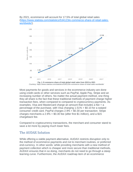





Most payments for goods and services in the ecommerce industry are done using credit cards or other services such as PayPal, Apple Pay, Stripe and an increasing number of others. No matter the actual payment method, one thing they all share is the fact that these traditional methods of payment charge higher transaction fees, when compared to compared to cryptocurrency payments. As examples, Visa and Mastercard charge an amount that includes a fee + a percentage of the purchase, with Visa charging 1.51% + \$0.10 for a swiped consumer credit card. PayPal charges 2.9% + \$0.30 per transaction. Stripe charges merchants a 2.9% + \$0.30 fee (after first \$1 million), and a \$15 chargeback fee.

Compared to cryptocurrency transactions, the merchant and consumer stand to save a lot more by paying much lower fees.

### The AUDAX Solution

While offering a viable payment alternative, AUDAX restricts disruption only to the method of ecommerce payments and not to merchant routines, or preferred end-currency. In other words: while providing merchants with a new method of payment collection which is cheaper and more secure than traditional methods, AUDAX ensures that in so doing, merchants do not need to go through a steep learning curve. Furthermore, the AUDAX roadmap item of an ecommerce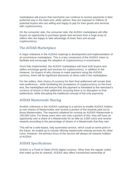marketplace will ensure that merchants can continue to receive payments in their preferred way in the back-end, while upfront, they are exposed to millions of potential buyers who are willing and happy to pay for their goods and services with cryptocurrency.

On the consumer side, the consumer side, the AUDAX marketplace will offer buyers an opportunity to purchase goods and services from a huge array of sellers who are happy to take advantage of lower fees and accept cryptocurrency.

# The AUDAX Marketplace

A major milestone in the AUDAX roadmap is development and implementation of an ecommerce marketplace. This is a key component of the AUDAX vision to facilitate and encourage the adoption of cryptocurrency in ecommerce.

Once fully implemented, the AUDAX marketplace will have both buyers and sellers exchange goods and services for cryptocurrency, in addition to fiat. However, for buyers of who choose to make payment using the AUDAX currency, there will be significant discounts on items sold in the marketplace.

For the sellers, their choice of currency for their final settlement will remain their own preference - while facilitating the acceptance of cryptocurrency on the frontend, the marketplace will ensure that this payment is translated to the merchant's currency of choice in final settlement, ensuring there is no disruption to final settlements, while disrupting the traditional concept of fiat-only payments.

# AUDAX Masternode Sharing

Another milestone in the AUDAX roadmap is a service to enable AUDAX holders to own shares of Masternodes and receive a portion of the rewards paid out to those Masternodes. The required collateral for running an AUDAX Masternode is 150,000 coins. For those users who own only a portion of this, they will have an opportunity own a share of a Masternode for as little as 3,000 coins and receive rewards according to the percentage of shares in a Masternode that they own.

This will be a web-based, fully-automated service, which could at some point in the future, be scaled up to include offering masternode-sharing services for other coins. However, the primary focus of the service will always be towards holders of AUDAX.

### AUDAX Specifications

AUDAX is a Proof-of Stake (PoS) digital currency. Other than the regular nodes that make up the its network, AUDAX also offers incentivized ownership of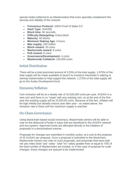special nodes (referred to as Masternodes) that more specially complement the security and stability of the network.

- **Consensus Protocol:** 100% Proof of Stake 3.0
- **Hash Type:** SHA256
- **Block time:** 60 seconds
- **Difficulty Retargeting:** Every block
- **Maturity:** 50 blocks
- **Minimum Staking Age:** 3 hours
- **Max supply:** 200 million
- **Block reward:** 20 coins
- **Masternode reward:** 8 coins
- **PoS reward:** 8 coins
- **Governance/Development:** 4 coins
- **Masternode Collateral:** 150,000 coins

## Initial Distribution

There will be a total premined amount of 3.25% of the total supply. 1.975% of the total supply will be made available at launch to investors interested in staking or owning masternodes to help support the network. 1.275% of the total supply will go to the Audax Development fund.

# Emission/Inflation

Coin emission will be at a steady rate of 10,520,000 coins per year. AUDAX is a new coin and there is no "swap" with any existing coin, so at the end of the first year the existing supply will be 10,520,00 coins. Because of this fact, inflation will be high initially but steadily reduce year after year - as stated above, the emission rate is fixed until the maximum supply is reached.

# On-Chain Governance

Using blockchain-based social consensus, Masternode owners will be able to vote on the disbursal of funds in ways that are beneficial to the AUDAX network and eco-system. Approved funds are allocated directly to the initiators of proposals in a decentralized manner.

Proposals for changes are submitted in monthly cycles, at a cost to the proposer of 25 AUDAX per proposal. Once a proposal is submitted to the blockchain, Masternode owners can vote on such proposals, and proposals that have total net yes votes (total "yes" votes - total "no" votes) greater than or equal to 10% of the total number of Masternodes are funded, or in the case of proposal for code changes, those changes are queued to be implemented.